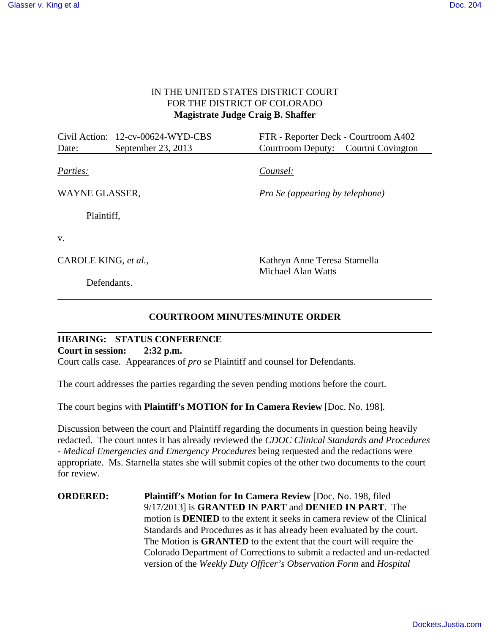#### IN THE UNITED STATES DISTRICT COURT FOR THE DISTRICT OF COLORADO **Magistrate Judge Craig B. Shaffer**

|                      | Civil Action: 12-cv-00624-WYD-CBS | FTR - Reporter Deck - Courtroom A402   |
|----------------------|-----------------------------------|----------------------------------------|
| Date:                | September 23, 2013                | Courtroom Deputy: Courtni Covington    |
|                      |                                   |                                        |
| Parties:             |                                   | Counsel:                               |
|                      |                                   |                                        |
| WAYNE GLASSER,       |                                   | <i>Pro Se (appearing by telephone)</i> |
| Plaintiff,           |                                   |                                        |
|                      |                                   |                                        |
| V.                   |                                   |                                        |
|                      |                                   |                                        |
| CAROLE KING, et al., |                                   | Kathryn Anne Teresa Starnella          |
|                      |                                   | Michael Alan Watts                     |
| Defendants.          |                                   |                                        |

## **COURTROOM MINUTES**/**MINUTE ORDER**

**HEARING: STATUS CONFERENCE Court in session: 2:32 p.m.** Court calls case. Appearances of *pro se* Plaintiff and counsel for Defendants.

The court addresses the parties regarding the seven pending motions before the court.

The court begins with **Plaintiff's MOTION for In Camera Review** [Doc. No. 198].

Discussion between the court and Plaintiff regarding the documents in question being heavily redacted. The court notes it has already reviewed the *CDOC Clinical Standards and Procedures - Medical Emergencies and Emergency Procedures* being requested and the redactions were appropriate. Ms. Starnella states she will submit copies of the other two documents to the court for review.

**ORDERED:** Plaintiff's Motion for In Camera Review [Doc. No. 198, filed] 9/17/2013] is **GRANTED IN PART** and **DENIED IN PART**. The motion is **DENIED** to the extent it seeks in camera review of the Clinical Standards and Procedures as it has already been evaluated by the court. The Motion is **GRANTED** to the extent that the court will require the Colorado Department of Corrections to submit a redacted and un-redacted version of the *Weekly Duty Officer's Observation Form* and *Hospital*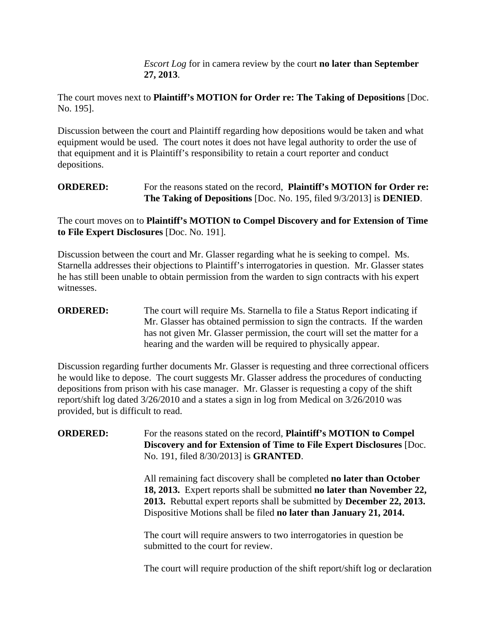*Escort Log* for in camera review by the court **no later than September 27, 2013**.

The court moves next to **Plaintiff's MOTION for Order re: The Taking of Depositions** [Doc. No. 195].

Discussion between the court and Plaintiff regarding how depositions would be taken and what equipment would be used. The court notes it does not have legal authority to order the use of that equipment and it is Plaintiff's responsibility to retain a court reporter and conduct depositions.

## **ORDERED:** For the reasons stated on the record, **Plaintiff's MOTION for Order re: The Taking of Depositions** [Doc. No. 195, filed 9/3/2013] is **DENIED**.

The court moves on to **Plaintiff's MOTION to Compel Discovery and for Extension of Time to File Expert Disclosures** [Doc. No. 191].

Discussion between the court and Mr. Glasser regarding what he is seeking to compel. Ms. Starnella addresses their objections to Plaintiff's interrogatories in question. Mr. Glasser states he has still been unable to obtain permission from the warden to sign contracts with his expert witnesses.

## **ORDERED:** The court will require Ms. Starnella to file a Status Report indicating if Mr. Glasser has obtained permission to sign the contracts. If the warden has not given Mr. Glasser permission, the court will set the matter for a hearing and the warden will be required to physically appear.

Discussion regarding further documents Mr. Glasser is requesting and three correctional officers he would like to depose. The court suggests Mr. Glasser address the procedures of conducting depositions from prison with his case manager. Mr. Glasser is requesting a copy of the shift report/shift log dated 3/26/2010 and a states a sign in log from Medical on 3/26/2010 was provided, but is difficult to read.

**ORDERED:** For the reasons stated on the record, **Plaintiff's MOTION to Compel Discovery and for Extension of Time to File Expert Disclosures** [Doc. No. 191, filed 8/30/2013] is **GRANTED**.

> All remaining fact discovery shall be completed **no later than October 18, 2013.** Expert reports shall be submitted **no later than November 22, 2013.** Rebuttal expert reports shall be submitted by **December 22, 2013.** Dispositive Motions shall be filed **no later than January 21, 2014.**

The court will require answers to two interrogatories in question be submitted to the court for review.

The court will require production of the shift report/shift log or declaration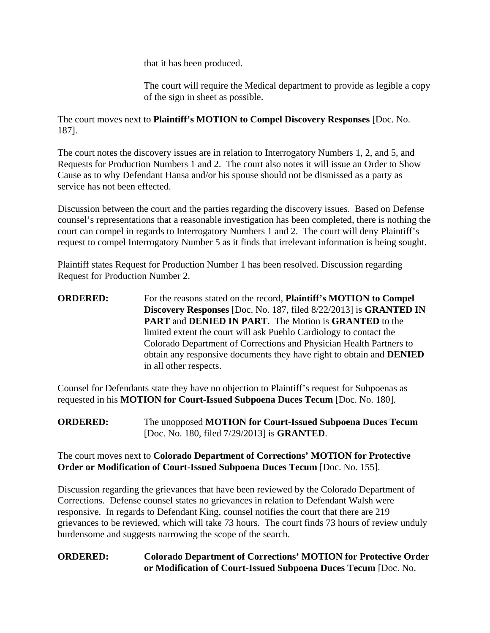that it has been produced.

The court will require the Medical department to provide as legible a copy of the sign in sheet as possible.

The court moves next to **Plaintiff's MOTION to Compel Discovery Responses** [Doc. No. 187].

The court notes the discovery issues are in relation to Interrogatory Numbers 1, 2, and 5, and Requests for Production Numbers 1 and 2. The court also notes it will issue an Order to Show Cause as to why Defendant Hansa and/or his spouse should not be dismissed as a party as service has not been effected.

Discussion between the court and the parties regarding the discovery issues. Based on Defense counsel's representations that a reasonable investigation has been completed, there is nothing the court can compel in regards to Interrogatory Numbers 1 and 2. The court will deny Plaintiff's request to compel Interrogatory Number 5 as it finds that irrelevant information is being sought.

Plaintiff states Request for Production Number 1 has been resolved. Discussion regarding Request for Production Number 2.

**ORDERED:** For the reasons stated on the record, **Plaintiff's MOTION to Compel Discovery Responses** [Doc. No. 187, filed 8/22/2013] is **GRANTED IN PART** and **DENIED IN PART**. The Motion is **GRANTED** to the limited extent the court will ask Pueblo Cardiology to contact the Colorado Department of Corrections and Physician Health Partners to obtain any responsive documents they have right to obtain and **DENIED** in all other respects.

Counsel for Defendants state they have no objection to Plaintiff's request for Subpoenas as requested in his **MOTION for Court-Issued Subpoena Duces Tecum** [Doc. No. 180].

**ORDERED:** The unopposed **MOTION for Court-Issued Subpoena Duces Tecum** [Doc. No. 180, filed 7/29/2013] is **GRANTED**.

#### The court moves next to **Colorado Department of Corrections' MOTION for Protective Order or Modification of Court-Issued Subpoena Duces Tecum** [Doc. No. 155].

Discussion regarding the grievances that have been reviewed by the Colorado Department of Corrections. Defense counsel states no grievances in relation to Defendant Walsh were responsive. In regards to Defendant King, counsel notifies the court that there are 219 grievances to be reviewed, which will take 73 hours. The court finds 73 hours of review unduly burdensome and suggests narrowing the scope of the search.

# **ORDERED: Colorado Department of Corrections' MOTION for Protective Order or Modification of Court-Issued Subpoena Duces Tecum** [Doc. No.